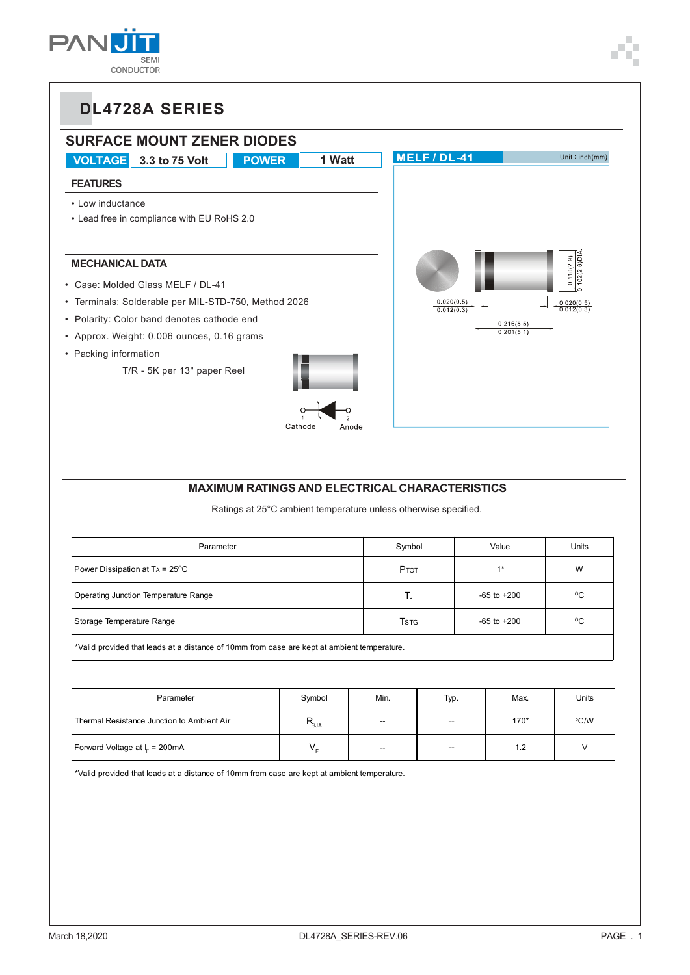



#### **MAXIMUM RATINGS AND ELECTRICAL CHARACTERISTICS**

Ratings at 25°C ambient temperature unless otherwise specified.

| Parameter                                                                                   | Symbol                               | Value           | Units        |  |  |  |  |
|---------------------------------------------------------------------------------------------|--------------------------------------|-----------------|--------------|--|--|--|--|
| Power Dissipation at TA = 25°C                                                              | Ртот                                 | $1*$            | W            |  |  |  |  |
| Operating Junction Temperature Range                                                        | TJ                                   | $-65$ to $+200$ | $^{\circ}$ C |  |  |  |  |
| Storage Temperature Range                                                                   | <b>T</b> <sub>S</sub> T <sub>G</sub> | $-65$ to $+200$ | $^{\circ}$ C |  |  |  |  |
| *Valid provided that leads at a distance of 10mm from case are kept at ambient temperature. |                                      |                 |              |  |  |  |  |

| Parameter                                  | Symbol                                                    | Min.           | Typ.                     | Max. | <b>Units</b> |
|--------------------------------------------|-----------------------------------------------------------|----------------|--------------------------|------|--------------|
| Thermal Resistance Junction to Ambient Air | $\bm{\mathsf{R}}_{\scriptscriptstyle{\theta\mathsf{JA}}}$ | $\overline{a}$ | $\overline{\phantom{0}}$ | 170* | °C/W         |
| Forward Voltage at $Ir = 200mA$            | $V_{\rm c}$                                               | --             | $\overline{\phantom{0}}$ | 1.2  |              |
|                                            |                                                           |                |                          |      |              |

\*Valid provided that leads at a distance of 10mm from case are kept at ambient temperature.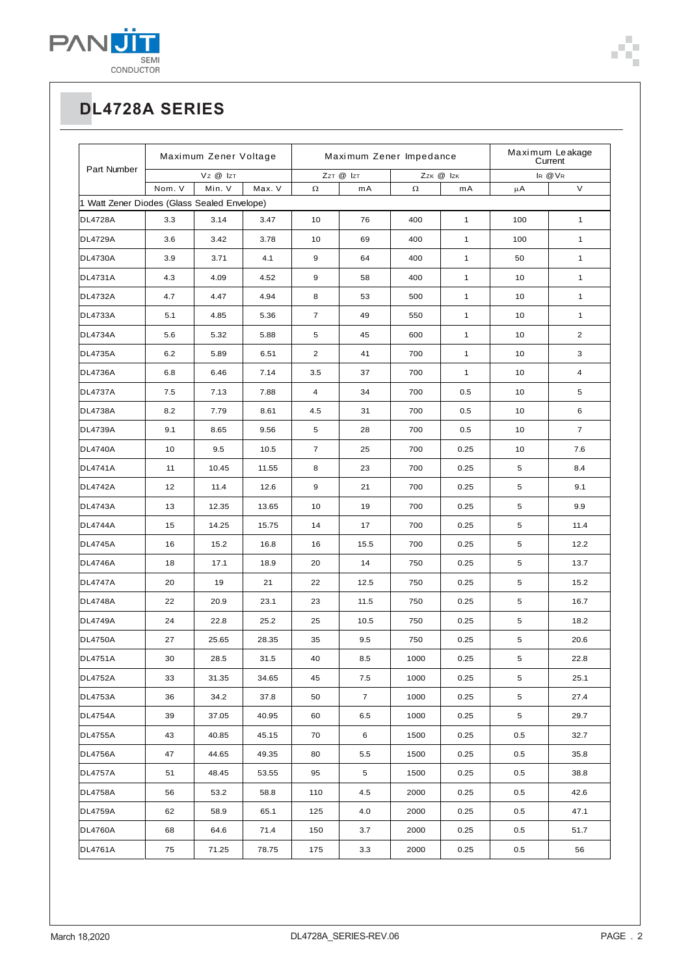

| Part Number                                 | Maximum Zener Voltage |        |        | Maximum Zener Impedance |                |           |              | Maximum Leakage<br>Current |                |
|---------------------------------------------|-----------------------|--------|--------|-------------------------|----------------|-----------|--------------|----------------------------|----------------|
|                                             | Vz @ IzT              |        |        | ZzT @ IzT               |                | Zzk @ Izk |              | IR @ VR                    |                |
| 1 Watt Zener Diodes (Glass Sealed Envelope) | Nom. V                | Min. V | Max. V | $\Omega$                | mA             | $\Omega$  | mA           | μA                         | V              |
| <b>DL4728A</b>                              | 3.3                   | 3.14   | 3.47   | 10                      | 76             | 400       | $\mathbf{1}$ | 100                        | $\mathbf{1}$   |
| <b>DL4729A</b>                              | 3.6                   | 3.42   | 3.78   | 10                      | 69             | 400       | $\mathbf{1}$ | 100                        | $\mathbf{1}$   |
| <b>DL4730A</b>                              | 3.9                   | 3.71   | 4.1    | 9                       | 64             | 400       | $\mathbf{1}$ | 50                         | $\mathbf{1}$   |
| <b>DL4731A</b>                              | 4.3                   | 4.09   | 4.52   | 9                       | 58             | 400       | $\mathbf{1}$ | 10                         | $\mathbf{1}$   |
| <b>DL4732A</b>                              | 4.7                   | 4.47   | 4.94   | 8                       | 53             | 500       | $\mathbf{1}$ | 10                         | $\mathbf{1}$   |
| <b>DL4733A</b>                              | 5.1                   | 4.85   | 5.36   | $\overline{7}$          | 49             | 550       | $\mathbf{1}$ | 10                         | $\mathbf{1}$   |
| <b>DL4734A</b>                              | 5.6                   | 5.32   | 5.88   | 5                       | 45             | 600       | $\mathbf{1}$ | 10                         | $\overline{2}$ |
| <b>DL4735A</b>                              | 6.2                   | 5.89   | 6.51   | $\overline{2}$          | 41             | 700       | $\mathbf{1}$ | 10                         | 3              |
| <b>DL4736A</b>                              | 6.8                   | 6.46   | 7.14   | 3.5                     | 37             | 700       | $\mathbf{1}$ | 10                         | 4              |
| <b>DL4737A</b>                              | 7.5                   | 7.13   | 7.88   | $\overline{4}$          | 34             | 700       | 0.5          | 10                         | 5              |
| <b>DL4738A</b>                              | 8.2                   | 7.79   | 8.61   | 4.5                     | 31             | 700       | 0.5          | 10                         | 6              |
| <b>DL4739A</b>                              | 9.1                   | 8.65   | 9.56   | 5                       | 28             | 700       | 0.5          | 10                         | $\overline{7}$ |
| <b>DL4740A</b>                              | 10                    | 9.5    | 10.5   | $\overline{7}$          | 25             | 700       | 0.25         | 10                         | 7.6            |
| <b>DL4741A</b>                              | 11                    | 10.45  | 11.55  | 8                       | 23             | 700       | 0.25         | 5                          | 8.4            |
| <b>DL4742A</b>                              | 12                    | 11.4   | 12.6   | 9                       | 21             | 700       | 0.25         | 5                          | 9.1            |
| <b>DL4743A</b>                              | 13                    | 12.35  | 13.65  | 10                      | 19             | 700       | 0.25         | 5                          | 9.9            |
| <b>DL4744A</b>                              | 15                    | 14.25  | 15.75  | 14                      | 17             | 700       | 0.25         | 5                          | 11.4           |
| <b>DL4745A</b>                              | 16                    | 15.2   | 16.8   | 16                      | 15.5           | 700       | 0.25         | 5                          | 12.2           |
| <b>DL4746A</b>                              | 18                    | 17.1   | 18.9   | 20                      | 14             | 750       | 0.25         | 5                          | 13.7           |
| <b>DL4747A</b>                              | 20                    | 19     | 21     | 22                      | 12.5           | 750       | 0.25         | 5                          | 15.2           |
| <b>DL4748A</b>                              | 22                    | 20.9   | 23.1   | 23                      | 11.5           | 750       | 0.25         | 5                          | 16.7           |
| <b>DL4749A</b>                              | 24                    | 22.8   | 25.2   | 25                      | 10.5           | 750       | 0.25         | 5                          | 18.2           |
| <b>DL4750A</b>                              | 27                    | 25.65  | 28.35  | 35                      | 9.5            | 750       | 0.25         | 5                          | 20.6           |
| <b>DL4751A</b>                              | 30                    | 28.5   | 31.5   | 40                      | 8.5            | 1000      | 0.25         | 5                          | 22.8           |
| <b>DL4752A</b>                              | 33                    | 31.35  | 34.65  | 45                      | 7.5            | 1000      | 0.25         | 5                          | 25.1           |
| <b>DL4753A</b>                              | 36                    | 34.2   | 37.8   | 50                      | $\overline{7}$ | 1000      | 0.25         | 5                          | 27.4           |
| <b>DL4754A</b>                              | 39                    | 37.05  | 40.95  | 60                      | 6.5            | 1000      | 0.25         | 5                          | 29.7           |
| <b>DL4755A</b>                              | 43                    | 40.85  | 45.15  | 70                      | 6              | 1500      | 0.25         | 0.5                        | 32.7           |
| <b>DL4756A</b>                              | 47                    | 44.65  | 49.35  | 80                      | 5.5            | 1500      | 0.25         | $0.5\,$                    | 35.8           |
| <b>DL4757A</b>                              | 51                    | 48.45  | 53.55  | 95                      | 5              | 1500      | 0.25         | 0.5                        | 38.8           |
| <b>DL4758A</b>                              | 56                    | 53.2   | 58.8   | 110                     | 4.5            | 2000      | 0.25         | 0.5                        | 42.6           |
| <b>DL4759A</b>                              | 62                    | 58.9   | 65.1   | 125                     | 4.0            | 2000      | 0.25         | 0.5                        | 47.1           |
| <b>DL4760A</b>                              | 68                    | 64.6   | 71.4   | 150                     | 3.7            | 2000      | 0.25         | 0.5                        | 51.7           |
| <b>DL4761A</b>                              | 75                    | 71.25  | 78.75  | 175                     | 3.3            | 2000      | 0.25         | $0.5\,$                    | 56             |

T.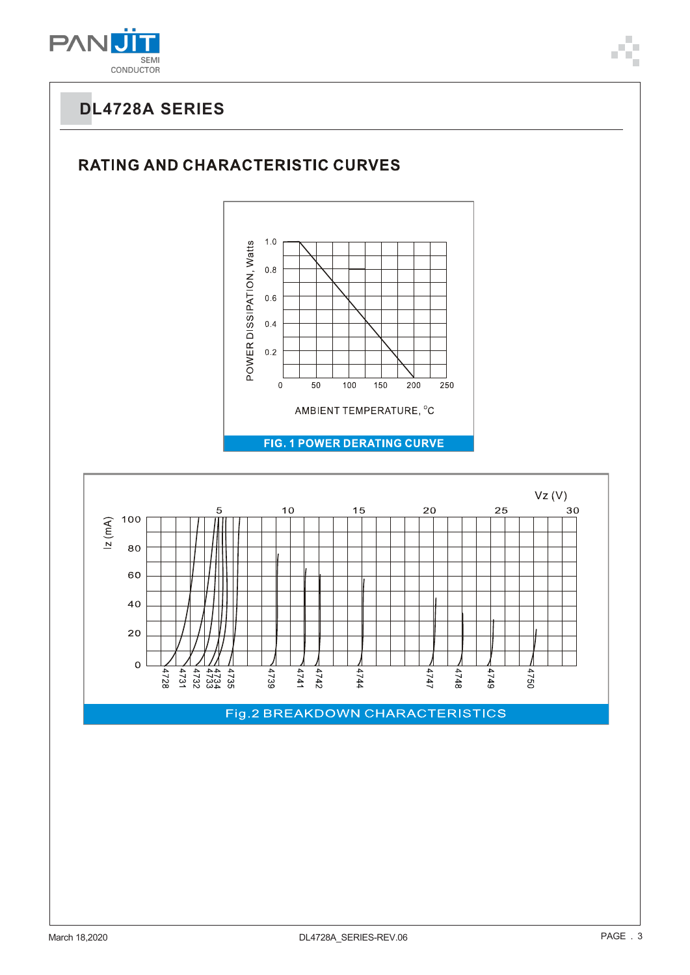

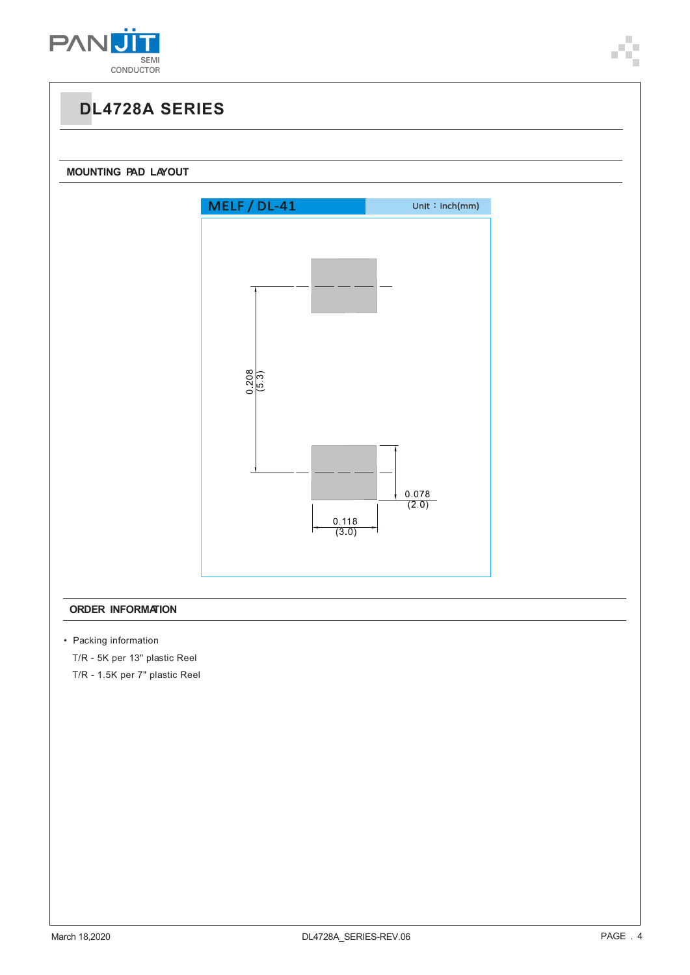





#### **ORDER INFORMATION**

• Packing information

T/R - 5K per 13" plastic Reel

T/R - 1.5K per 7" plastic Reel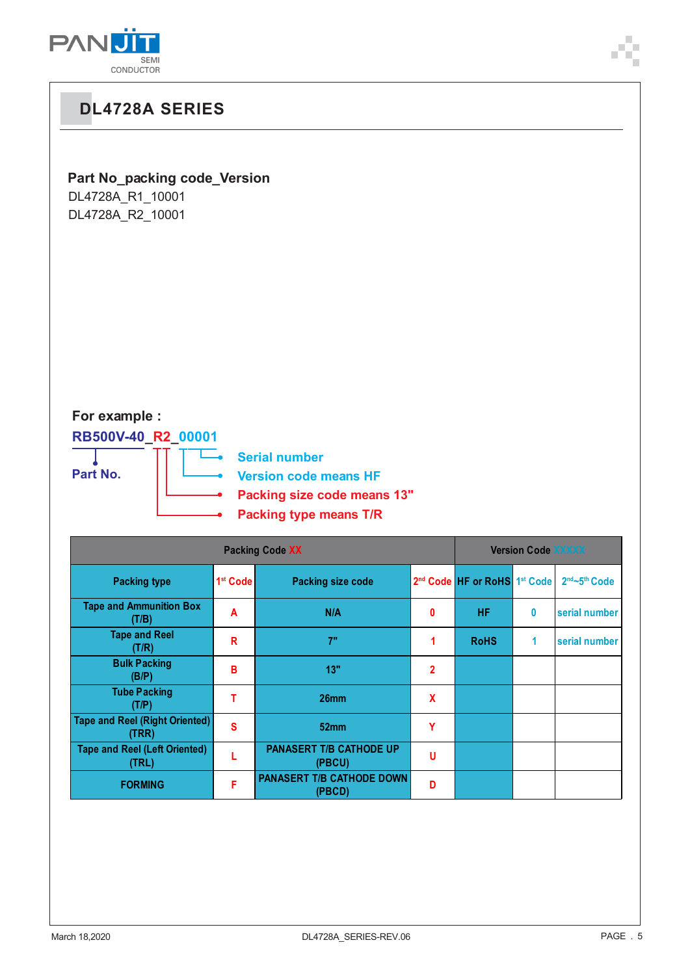

# **Part No\_packing code\_Version**

DL4728A\_R1\_10001 DL4728A\_R2\_10001

### **For example :**

**RB500V-40\_R2\_00001** т

**Part No.**

**Serial number**  $\overline{\phantom{a}}$ **Version code means HF Packing size code means 13"**

**Packing type means T/R**

|                                                | <b>Version Code XXXXX</b> |                                            |                |                                                      |   |                                       |
|------------------------------------------------|---------------------------|--------------------------------------------|----------------|------------------------------------------------------|---|---------------------------------------|
| <b>Packing type</b>                            | 1 <sup>st</sup> Code      | <b>Packing size code</b>                   |                | 2 <sup>nd</sup> Code HF or RoHS 1 <sup>st</sup> Code |   | 2 <sup>nd</sup> ~5 <sup>th</sup> Code |
| <b>Tape and Ammunition Box</b><br>(T/B)        | A                         | N/A                                        | 0              | <b>HF</b>                                            | 0 | serial number                         |
| <b>Tape and Reel</b><br>(T/R)                  | R                         | 7"                                         |                | <b>RoHS</b>                                          | 1 | serial number                         |
| <b>Bulk Packing</b><br>(B/P)                   | в                         | 13"                                        | $\overline{2}$ |                                                      |   |                                       |
| <b>Tube Packing</b><br>(T/P)                   |                           | 26 <sub>mm</sub>                           | X              |                                                      |   |                                       |
| <b>Tape and Reel (Right Oriented)</b><br>(TRR) | S                         | 52mm                                       | Υ              |                                                      |   |                                       |
| <b>Tape and Reel (Left Oriented)</b><br>(TRL)  |                           | <b>PANASERT T/B CATHODE UP</b><br>(PBCU)   | u              |                                                      |   |                                       |
| <b>FORMING</b>                                 | F                         | <b>PANASERT T/B CATHODE DOWN</b><br>(PBCD) | D              |                                                      |   |                                       |